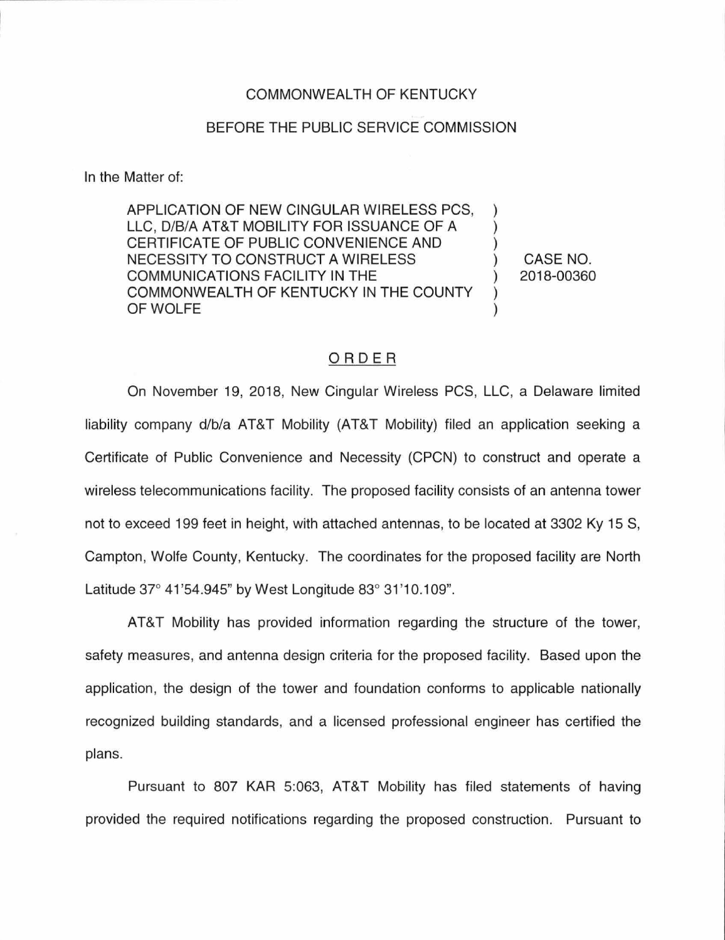#### COMMONWEALTH OF KENTUCKY

#### BEFORE THE PUBLIC SERVICE COMMISSION

In the Matter of:

APPLICATION OF NEW CINGULAR WIRELESS PCS, ) LLC, D/B/A AT&T MOBILITY FOR ISSUANCE OF A  $\rightarrow$ CERTIFICATE OF PUBLIC CONVENIENCE AND NECESSITY TO CONSTRUCT A WIRELESS ) CASE NO. COMMUNICATIONS FACILITY IN THE ) 2018-00360 COMMONWEALTH OF KENTUCKY IN THE COUNTY ) OF WOLFE

## ORDER

On November 19, 2018, New Cingular Wireless PCS, LLC, a Delaware limited liability company d/b/a AT&T Mobility (AT&T Mobility) filed an application seeking a Certificate of Public Convenience and Necessity (CPCN) to construct and operate a wireless telecommunications facility. The proposed facility consists of an antenna tower not to exceed 199 feet in height, with attached antennas, to be located at 3302 Ky 15 S, Campton, Wolfe County, Kentucky. The coordinates for the proposed facility are North Latitude 37° 41 '54.945" by West Longitude 83° 31'10.109".

AT&T Mobility has provided information regarding the structure of the tower, safety measures, and antenna design criteria for the proposed facility. Based upon the application, the design of the tower and foundation conforms to applicable nationally recognized building standards, and a licensed professional engineer has certified the plans.

Pursuant to 807 KAR 5:063, AT&T Mobility has filed statements of having provided the required notifications regarding the proposed construction. Pursuant to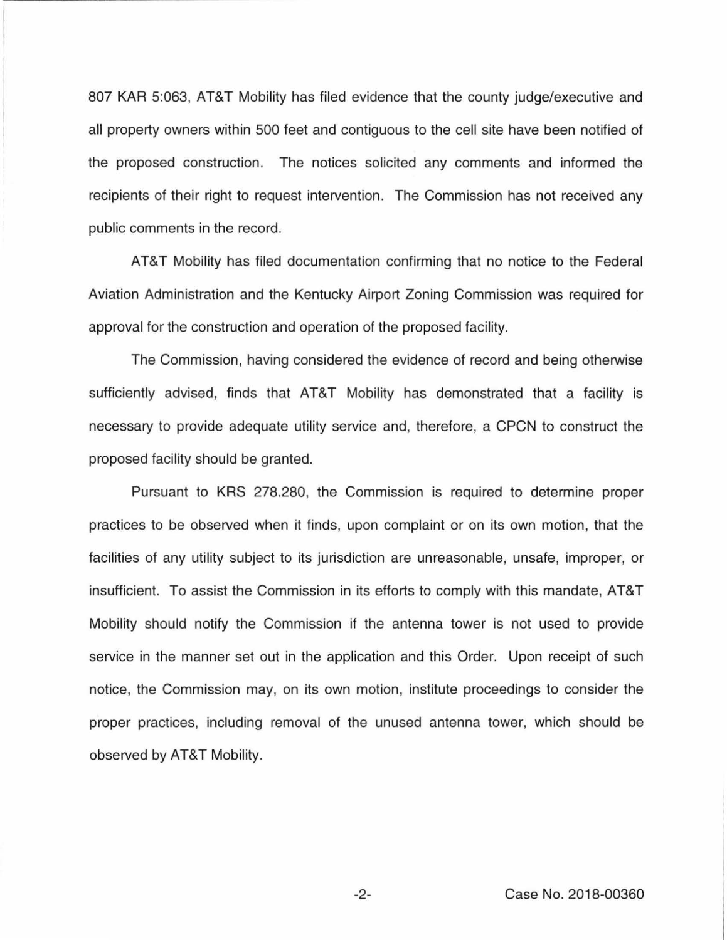807 KAR 5:063, AT&T Mobility has filed evidence that the county judge/executive and all property owners within 500 feet and contiguous to the cell site have been notified of the proposed construction. The notices solicited any comments and informed the recipients of their right to request intervention. The Commission has not received any public comments in the record.

AT&T Mobility has filed documentation confirming that no notice to the Federal Aviation Administration and the Kentucky Airport Zoning Commission was required for approval for the construction and operation of the proposed facility.

The Commission, having considered the evidence of record and being otherwise sufficiently advised, finds that AT&T Mobility has demonstrated that a facility is necessary to provide adequate utility service and, therefore, a CPCN to construct the proposed facility should be granted.

Pursuant to KRS 278.280, the Commission is required to determine proper practices to be observed when it finds, upon complaint or on its own motion, that the facilities of any utility subject to its jurisdiction are unreasonable, unsafe, improper, or insufficient. To assist the Commission in its efforts to comply with this mandate, AT&T Mobility should notify the Commission if the antenna tower is not used to provide service in the manner set out in the application and this Order. Upon receipt of such notice, the Commission may, on its own motion, institute proceedings to consider the proper practices, including removal of the unused antenna tower, which should be observed by AT&T Mobility.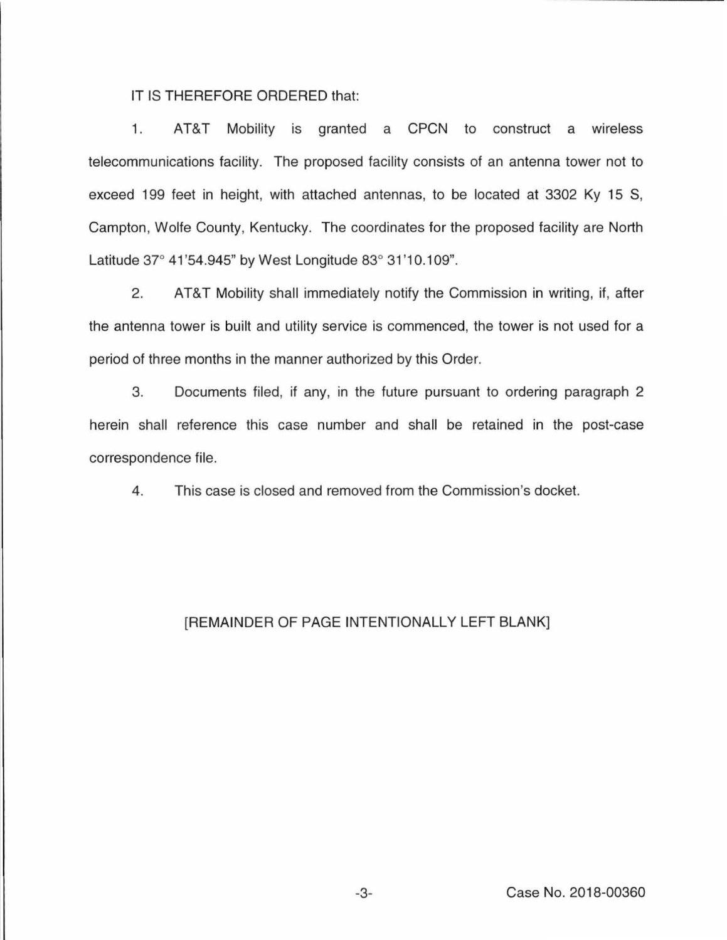### IT IS THEREFORE ORDERED that:

1. AT&T Mobility is granted a CPCN to construct a wireless telecommunications facility. The proposed facility consists of an antenna tower not to exceed 199 feet in height, with attached antennas, to be located at 3302 Ky 15 S, Campton, Wolfe County, Kentucky. The coordinates for the proposed facility are North Latitude 37° 41 '54.945" by West Longitude 83° 31 '10.109".

2. AT&T Mobility shall immediately notify the Commission in writing, if, after the antenna tower is built and utility service is commenced, the tower is not used for a period of three months in the manner authorized by this Order.

3. Documents filed, if any, in the future pursuant to ordering paragraph 2 herein shall reference this case number and shall be retained in the post-case correspondence file.

4. This case is closed and removed from the Commission's docket.

# [REMAINDER OF PAGE INTENTIONALLY LEFT BLANK]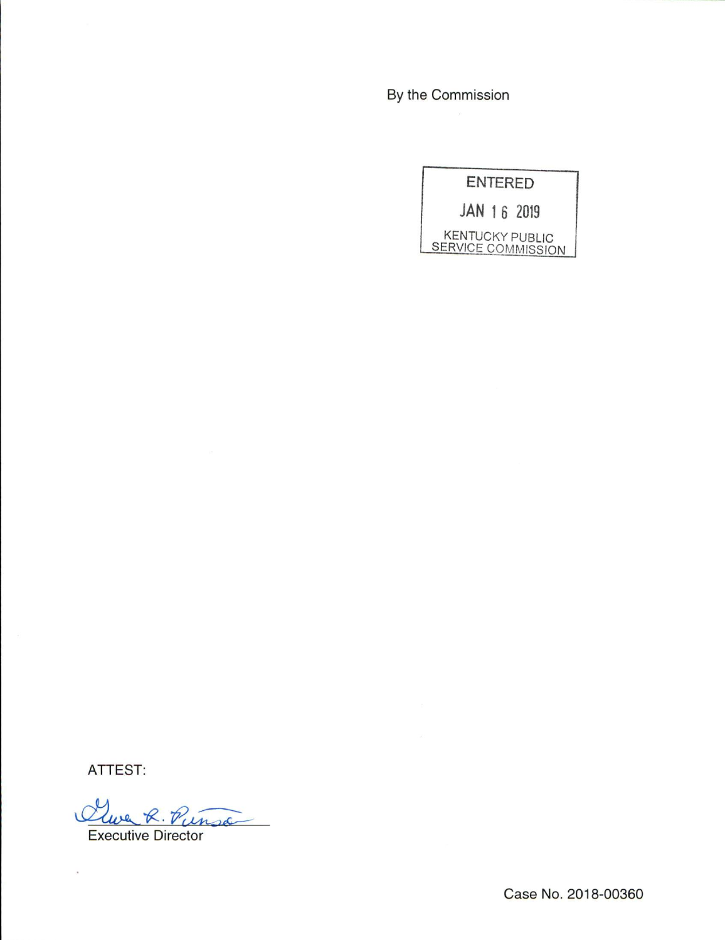By the Commission

ENTERED

JAN 1 6 2019

KENTUCKY PUBLIC SERVICE COMMISSION

ATTEST:

 $\lambda$ 

we R. Pinsa

Executive Director

Case No. 2018-00360